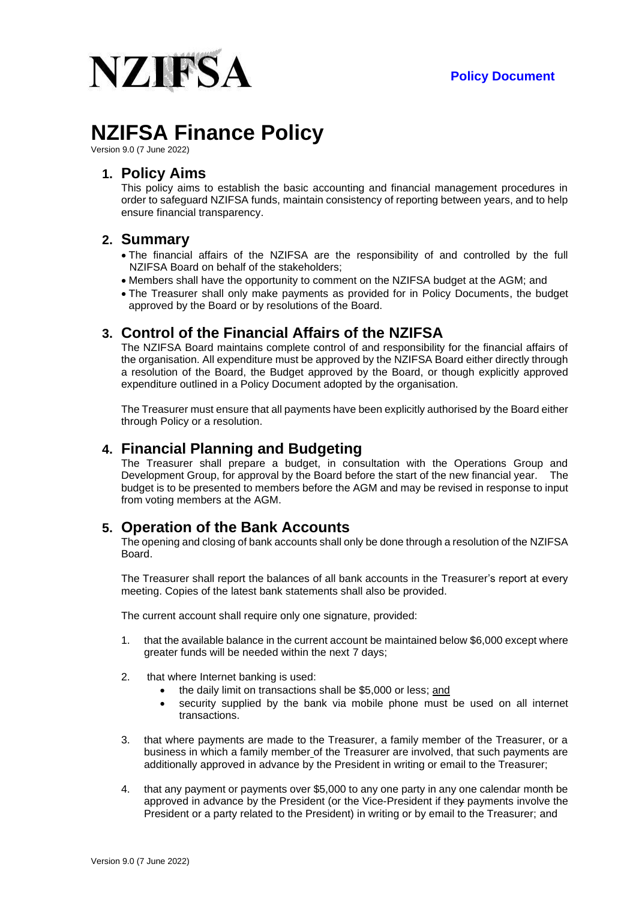

# **NZIFSA Finance Policy**

Version 9.0 (7 June 2022)

# **1. Policy Aims**

This policy aims to establish the basic accounting and financial management procedures in order to safeguard NZIFSA funds, maintain consistency of reporting between years, and to help ensure financial transparency.

## **2. Summary**

- The financial affairs of the NZIFSA are the responsibility of and controlled by the full NZIFSA Board on behalf of the stakeholders;
- Members shall have the opportunity to comment on the NZIFSA budget at the AGM; and
- The Treasurer shall only make payments as provided for in Policy Documents, the budget approved by the Board or by resolutions of the Board.

# **3. Control of the Financial Affairs of the NZIFSA**

The NZIFSA Board maintains complete control of and responsibility for the financial affairs of the organisation. All expenditure must be approved by the NZIFSA Board either directly through a resolution of the Board, the Budget approved by the Board, or though explicitly approved expenditure outlined in a Policy Document adopted by the organisation.

The Treasurer must ensure that all payments have been explicitly authorised by the Board either through Policy or a resolution.

# **4. Financial Planning and Budgeting**

The Treasurer shall prepare a budget, in consultation with the Operations Group and Development Group, for approval by the Board before the start of the new financial year. The budget is to be presented to members before the AGM and may be revised in response to input from voting members at the AGM.

## **5. Operation of the Bank Accounts**

The opening and closing of bank accounts shall only be done through a resolution of the NZIFSA Board.

The Treasurer shall report the balances of all bank accounts in the Treasurer's report at every meeting. Copies of the latest bank statements shall also be provided.

The current account shall require only one signature, provided:

- 1. that the available balance in the current account be maintained below \$6,000 except where greater funds will be needed within the next 7 days;
- 2. that where Internet banking is used:
	- the daily limit on transactions shall be \$5,000 or less; and
	- security supplied by the bank via mobile phone must be used on all internet transactions.
- 3. that where payments are made to the Treasurer, a family member of the Treasurer, or a business in which a family member of the Treasurer are involved, that such payments are additionally approved in advance by the President in writing or email to the Treasurer;
- 4. that any payment or payments over \$5,000 to any one party in any one calendar month be approved in advance by the President (or the Vice-President if they payments involve the President or a party related to the President) in writing or by email to the Treasurer; and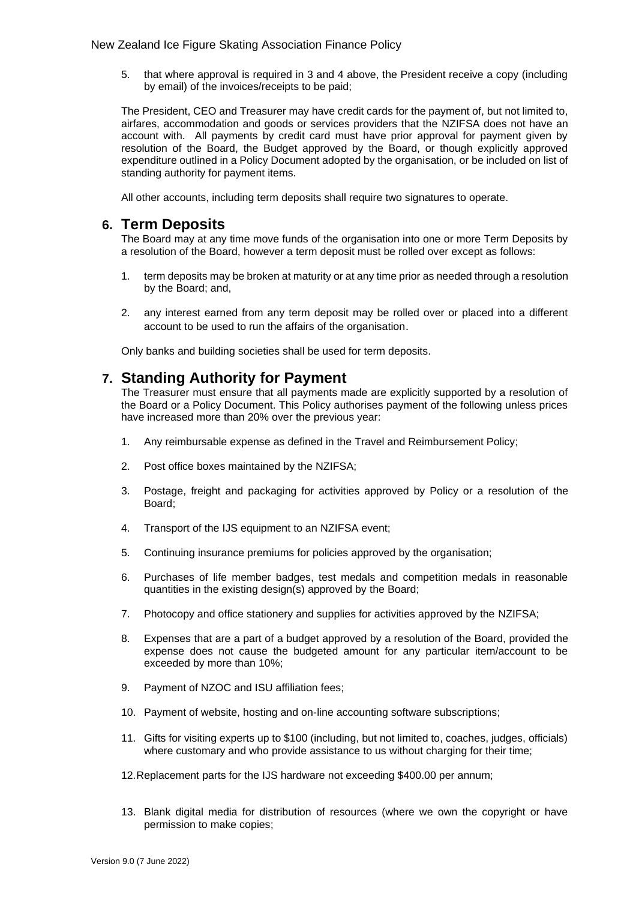5. that where approval is required in 3 and 4 above, the President receive a copy (including by email) of the invoices/receipts to be paid;

The President, CEO and Treasurer may have credit cards for the payment of, but not limited to, airfares, accommodation and goods or services providers that the NZIFSA does not have an account with. All payments by credit card must have prior approval for payment given by resolution of the Board, the Budget approved by the Board, or though explicitly approved expenditure outlined in a Policy Document adopted by the organisation, or be included on list of standing authority for payment items.

All other accounts, including term deposits shall require two signatures to operate.

## **6. Term Deposits**

The Board may at any time move funds of the organisation into one or more Term Deposits by a resolution of the Board, however a term deposit must be rolled over except as follows:

- 1. term deposits may be broken at maturity or at any time prior as needed through a resolution by the Board; and,
- 2. any interest earned from any term deposit may be rolled over or placed into a different account to be used to run the affairs of the organisation.

Only banks and building societies shall be used for term deposits.

# **7. Standing Authority for Payment**

The Treasurer must ensure that all payments made are explicitly supported by a resolution of the Board or a Policy Document. This Policy authorises payment of the following unless prices have increased more than 20% over the previous year:

- 1. Any reimbursable expense as defined in the Travel and Reimbursement Policy;
- 2. Post office boxes maintained by the NZIFSA;
- 3. Postage, freight and packaging for activities approved by Policy or a resolution of the Board;
- 4. Transport of the IJS equipment to an NZIFSA event;
- 5. Continuing insurance premiums for policies approved by the organisation;
- 6. Purchases of life member badges, test medals and competition medals in reasonable quantities in the existing design(s) approved by the Board;
- 7. Photocopy and office stationery and supplies for activities approved by the NZIFSA;
- 8. Expenses that are a part of a budget approved by a resolution of the Board, provided the expense does not cause the budgeted amount for any particular item/account to be exceeded by more than 10%;
- 9. Payment of NZOC and ISU affiliation fees;
- 10. Payment of website, hosting and on-line accounting software subscriptions;
- 11. Gifts for visiting experts up to \$100 (including, but not limited to, coaches, judges, officials) where customary and who provide assistance to us without charging for their time;
- 12.Replacement parts for the IJS hardware not exceeding \$400.00 per annum;
- 13. Blank digital media for distribution of resources (where we own the copyright or have permission to make copies;